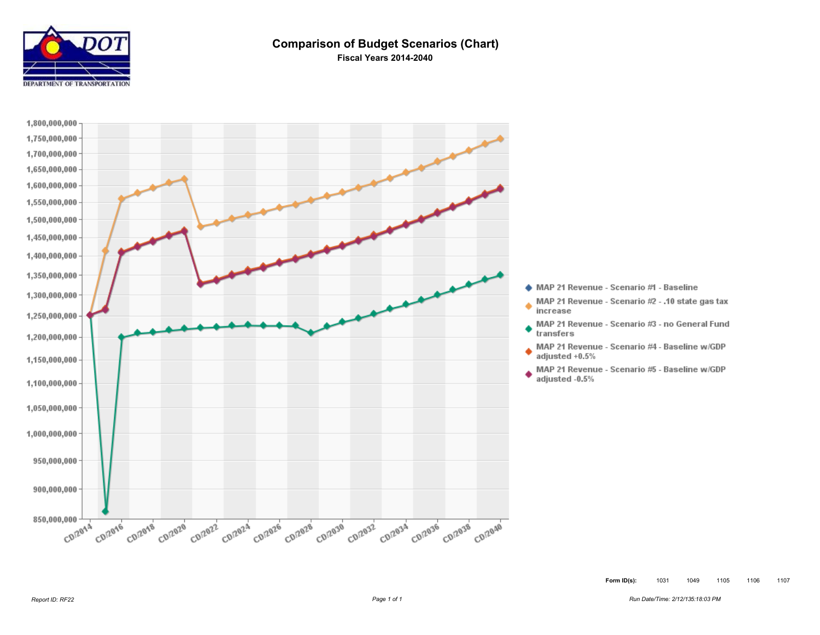

### **Comparison of Budget Scenarios (Chart) Fiscal Years 2014-2040**

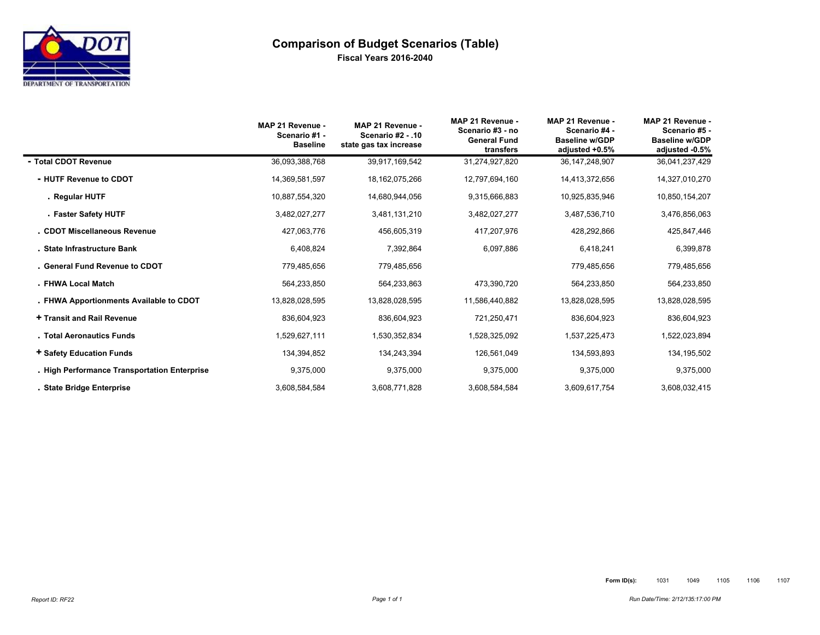

# **Comparison of Budget Scenarios (Table) Fiscal Years 2016-2040**

|                                              | MAP 21 Revenue -<br>Scenario #1 -<br><b>Baseline</b> | MAP 21 Revenue -<br><b>Scenario #2 - .10</b><br>state gas tax increase | MAP 21 Revenue -<br>Scenario #3 - no<br><b>General Fund</b><br>transfers | MAP 21 Revenue -<br>Scenario #4 -<br><b>Baseline w/GDP</b><br>adjusted +0.5% | MAP 21 Revenue -<br>Scenario #5 -<br><b>Baseline w/GDP</b><br>adjusted -0.5% |
|----------------------------------------------|------------------------------------------------------|------------------------------------------------------------------------|--------------------------------------------------------------------------|------------------------------------------------------------------------------|------------------------------------------------------------------------------|
| - Total CDOT Revenue                         | 36,093,388,768                                       | 39,917,169,542                                                         | 31,274,927,820                                                           | 36, 147, 248, 907                                                            | 36,041,237,429                                                               |
| - HUTF Revenue to CDOT                       | 14,369,581,597                                       | 18, 162, 075, 266                                                      | 12,797,694,160                                                           | 14,413,372,656                                                               | 14,327,010,270                                                               |
| . Regular HUTF                               | 10,887,554,320                                       | 14,680,944,056                                                         | 9,315,666,883                                                            | 10,925,835,946                                                               | 10,850,154,207                                                               |
| - Faster Safety HUTF                         | 3,482,027,277                                        | 3,481,131,210                                                          | 3,482,027,277                                                            | 3,487,536,710                                                                | 3,476,856,063                                                                |
| . CDOT Miscellaneous Revenue                 | 427,063,776                                          | 456,605,319                                                            | 417,207,976                                                              | 428,292,866                                                                  | 425,847,446                                                                  |
| . State Infrastructure Bank                  | 6,408,824                                            | 7,392,864                                                              | 6,097,886                                                                | 6,418,241                                                                    | 6,399,878                                                                    |
| . General Fund Revenue to CDOT               | 779,485,656                                          | 779,485,656                                                            |                                                                          | 779,485,656                                                                  | 779,485,656                                                                  |
| . FHWA Local Match                           | 564,233,850                                          | 564,233,863                                                            | 473,390,720                                                              | 564,233,850                                                                  | 564,233,850                                                                  |
| . FHWA Apportionments Available to CDOT      | 13,828,028,595                                       | 13,828,028,595                                                         | 11,586,440,882                                                           | 13,828,028,595                                                               | 13,828,028,595                                                               |
| + Transit and Rail Revenue                   | 836,604,923                                          | 836,604,923                                                            | 721,250,471                                                              | 836,604,923                                                                  | 836,604,923                                                                  |
| . Total Aeronautics Funds                    | 1,529,627,111                                        | 1,530,352,834                                                          | 1,528,325,092                                                            | 1,537,225,473                                                                | 1,522,023,894                                                                |
| + Safety Education Funds                     | 134,394,852                                          | 134,243,394                                                            | 126,561,049                                                              | 134,593,893                                                                  | 134, 195, 502                                                                |
| . High Performance Transportation Enterprise | 9,375,000                                            | 9,375,000                                                              | 9,375,000                                                                | 9,375,000                                                                    | 9,375,000                                                                    |
| . State Bridge Enterprise                    | 3,608,584,584                                        | 3,608,771,828                                                          | 3,608,584,584                                                            | 3,609,617,754                                                                | 3,608,032,415                                                                |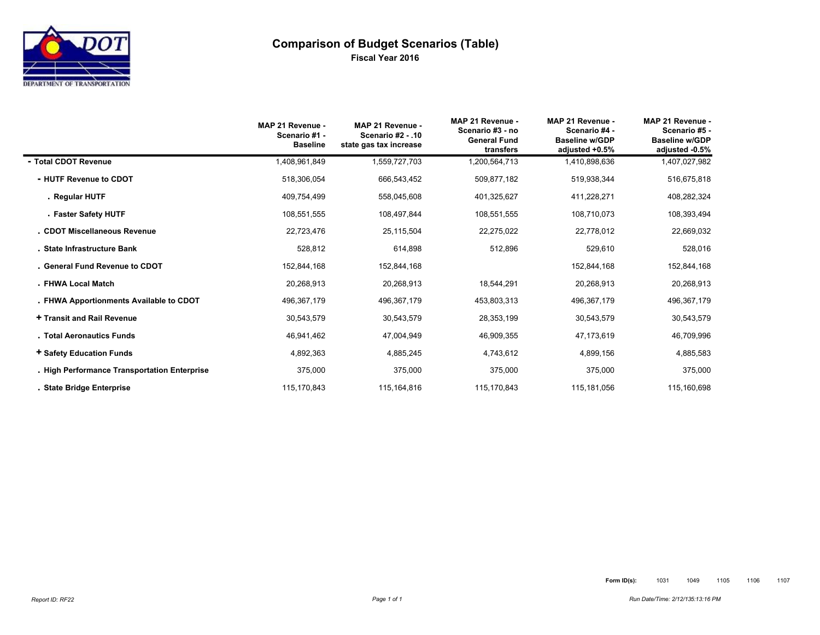

# **Comparison of Budget Scenarios (Table) Fiscal Year 2016**

|                                              | MAP 21 Revenue -<br>Scenario #1 -<br><b>Baseline</b> | MAP 21 Revenue -<br>Scenario #2 - .10<br>state gas tax increase | MAP 21 Revenue -<br>Scenario #3 - no<br><b>General Fund</b><br>transfers | MAP 21 Revenue -<br>Scenario #4 -<br><b>Baseline w/GDP</b><br>adjusted +0.5% | MAP 21 Revenue -<br>Scenario #5 -<br><b>Baseline w/GDP</b><br>adjusted -0.5% |
|----------------------------------------------|------------------------------------------------------|-----------------------------------------------------------------|--------------------------------------------------------------------------|------------------------------------------------------------------------------|------------------------------------------------------------------------------|
| - Total CDOT Revenue                         | 1,408,961,849                                        | 1,559,727,703                                                   | 1,200,564,713                                                            | 1,410,898,636                                                                | 1,407,027,982                                                                |
| - HUTF Revenue to CDOT                       | 518,306,054                                          | 666,543,452                                                     | 509,877,182                                                              | 519,938,344                                                                  | 516,675,818                                                                  |
| . Regular HUTF                               | 409,754,499                                          | 558,045,608                                                     | 401,325,627                                                              | 411,228,271                                                                  | 408,282,324                                                                  |
| - Faster Safety HUTF                         | 108,551,555                                          | 108,497,844                                                     | 108,551,555                                                              | 108,710,073                                                                  | 108,393,494                                                                  |
| . CDOT Miscellaneous Revenue                 | 22,723,476                                           | 25,115,504                                                      | 22,275,022                                                               | 22,778,012                                                                   | 22,669,032                                                                   |
| . State Infrastructure Bank                  | 528,812                                              | 614,898                                                         | 512,896                                                                  | 529,610                                                                      | 528,016                                                                      |
| . General Fund Revenue to CDOT               | 152,844,168                                          | 152,844,168                                                     |                                                                          | 152,844,168                                                                  | 152,844,168                                                                  |
| . FHWA Local Match                           | 20,268,913                                           | 20,268,913                                                      | 18,544,291                                                               | 20,268,913                                                                   | 20,268,913                                                                   |
| . FHWA Apportionments Available to CDOT      | 496,367,179                                          | 496,367,179                                                     | 453,803,313                                                              | 496,367,179                                                                  | 496,367,179                                                                  |
| + Transit and Rail Revenue                   | 30,543,579                                           | 30,543,579                                                      | 28,353,199                                                               | 30,543,579                                                                   | 30,543,579                                                                   |
| . Total Aeronautics Funds                    | 46,941,462                                           | 47,004,949                                                      | 46,909,355                                                               | 47,173,619                                                                   | 46,709,996                                                                   |
| + Safety Education Funds                     | 4,892,363                                            | 4,885,245                                                       | 4,743,612                                                                | 4,899,156                                                                    | 4,885,583                                                                    |
| . High Performance Transportation Enterprise | 375,000                                              | 375,000                                                         | 375,000                                                                  | 375,000                                                                      | 375,000                                                                      |
| . State Bridge Enterprise                    | 115,170,843                                          | 115,164,816                                                     | 115,170,843                                                              | 115,181,056                                                                  | 115,160,698                                                                  |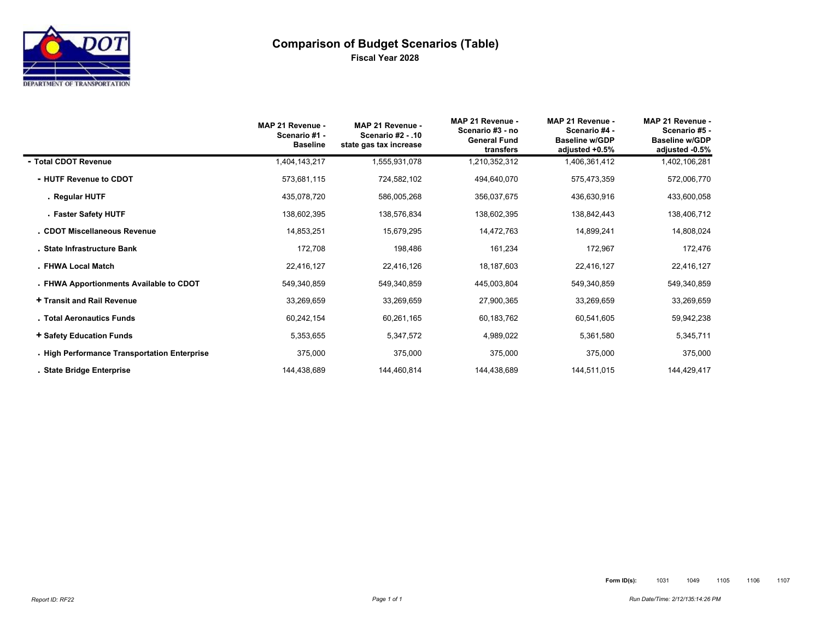

# **Comparison of Budget Scenarios (Table) Fiscal Year 2028**

|                                              | MAP 21 Revenue -<br>Scenario #1 -<br><b>Baseline</b> | MAP 21 Revenue -<br><b>Scenario #2 - .10</b><br>state gas tax increase | MAP 21 Revenue -<br>Scenario #3 - no<br><b>General Fund</b><br>transfers | MAP 21 Revenue -<br>Scenario #4 -<br><b>Baseline w/GDP</b><br>adjusted +0.5% | MAP 21 Revenue -<br>Scenario #5 -<br><b>Baseline w/GDP</b><br>adjusted -0.5% |
|----------------------------------------------|------------------------------------------------------|------------------------------------------------------------------------|--------------------------------------------------------------------------|------------------------------------------------------------------------------|------------------------------------------------------------------------------|
| - Total CDOT Revenue                         | 1,404,143,217                                        | 1,555,931,078                                                          | 1,210,352,312                                                            | 1,406,361,412                                                                | 1,402,106,281                                                                |
| - HUTF Revenue to CDOT                       | 573,681,115                                          | 724,582,102                                                            | 494,640,070                                                              | 575,473,359                                                                  | 572,006,770                                                                  |
| . Regular HUTF                               | 435,078,720                                          | 586,005,268                                                            | 356,037,675                                                              | 436,630,916                                                                  | 433,600,058                                                                  |
| - Faster Safety HUTF                         | 138,602,395                                          | 138,576,834                                                            | 138,602,395                                                              | 138,842,443                                                                  | 138,406,712                                                                  |
| . CDOT Miscellaneous Revenue                 | 14,853,251                                           | 15,679,295                                                             | 14,472,763                                                               | 14,899,241                                                                   | 14,808,024                                                                   |
| . State Infrastructure Bank                  | 172,708                                              | 198,486                                                                | 161,234                                                                  | 172,967                                                                      | 172,476                                                                      |
| . FHWA Local Match                           | 22,416,127                                           | 22,416,126                                                             | 18,187,603                                                               | 22,416,127                                                                   | 22,416,127                                                                   |
| . FHWA Apportionments Available to CDOT      | 549,340,859                                          | 549,340,859                                                            | 445,003,804                                                              | 549,340,859                                                                  | 549,340,859                                                                  |
| + Transit and Rail Revenue                   | 33,269,659                                           | 33,269,659                                                             | 27,900,365                                                               | 33,269,659                                                                   | 33,269,659                                                                   |
| . Total Aeronautics Funds                    | 60,242,154                                           | 60,261,165                                                             | 60,183,762                                                               | 60,541,605                                                                   | 59,942,238                                                                   |
| + Safety Education Funds                     | 5,353,655                                            | 5,347,572                                                              | 4,989,022                                                                | 5,361,580                                                                    | 5,345,711                                                                    |
| . High Performance Transportation Enterprise | 375,000                                              | 375,000                                                                | 375,000                                                                  | 375,000                                                                      | 375,000                                                                      |
| . State Bridge Enterprise                    | 144,438,689                                          | 144,460,814                                                            | 144,438,689                                                              | 144,511,015                                                                  | 144,429,417                                                                  |